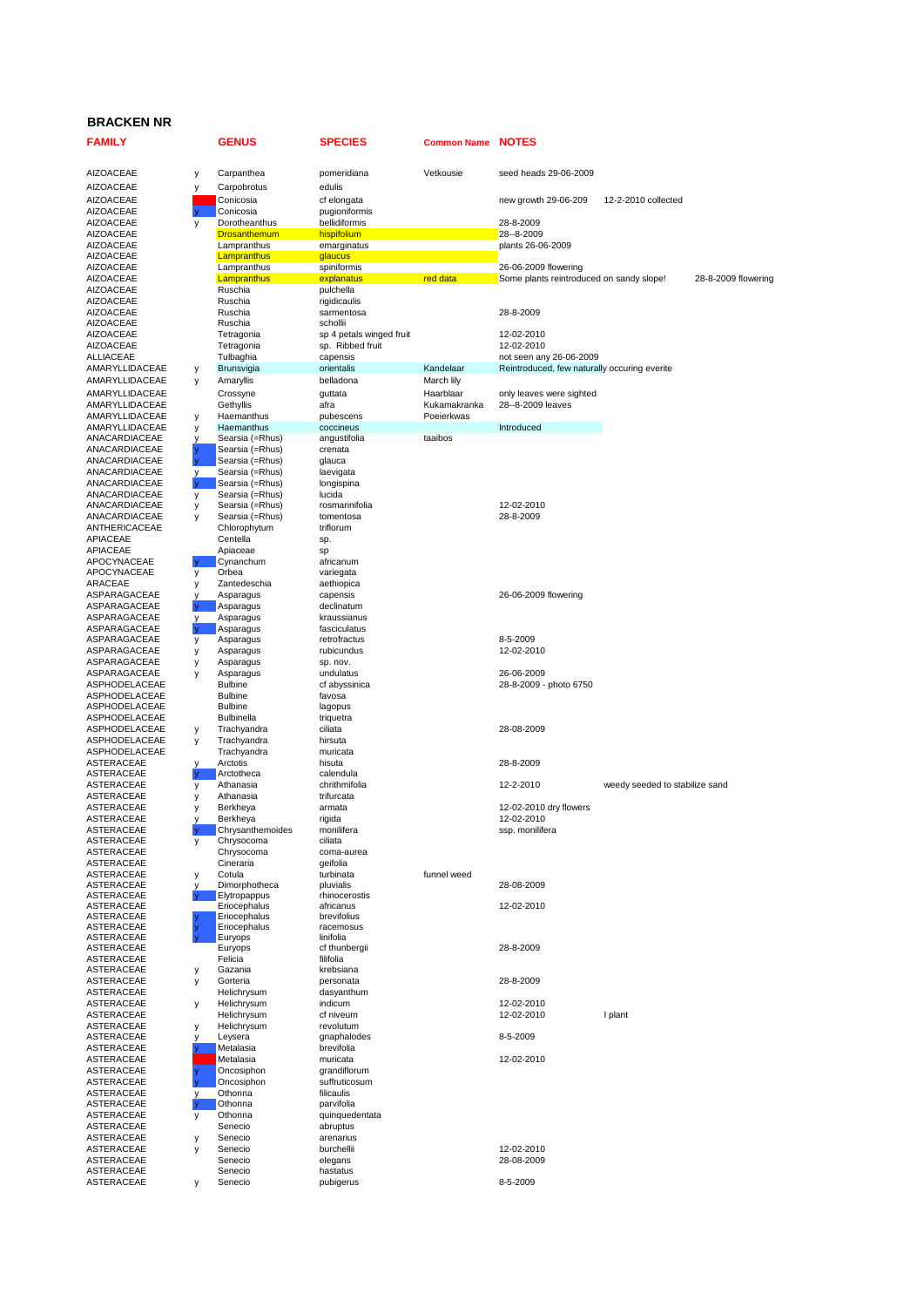## **BRACKEN NR**

| <b>FAMILY</b>                        |        | <b>GENUS</b>                       | <b>SPECIES</b>             | <b>Common Name</b> | <b>NOTES</b>                                                     |                                |                     |
|--------------------------------------|--------|------------------------------------|----------------------------|--------------------|------------------------------------------------------------------|--------------------------------|---------------------|
| <b>AIZOACEAE</b>                     | у      | Carpanthea                         | pomeridiana                | Vetkousie          | seed heads 29-06-2009                                            |                                |                     |
| <b>AIZOACEAE</b>                     | у      | Carpobrotus                        | edulis                     |                    |                                                                  |                                |                     |
| <b>AIZOACEAE</b>                     |        | Conicosia                          | cf elongata                |                    | new growth 29-06-209                                             | 12-2-2010 collected            |                     |
| <b>AIZOACEAE</b>                     |        | Conicosia                          | pugioniformis              |                    |                                                                  |                                |                     |
| <b>AIZOACEAE</b>                     | у      | Dorotheanthus                      | bellidiformis              |                    | 28-8-2009                                                        |                                |                     |
| <b>AIZOACEAE</b>                     |        | <b>Drosanthemum</b>                | hispifolium                |                    | 28--8-2009                                                       |                                |                     |
| <b>AIZOACEAE</b>                     |        | Lampranthus                        | emarginatus                |                    | plants 26-06-2009                                                |                                |                     |
| AIZOACEAE                            |        | Lampranthus                        | glaucus                    |                    |                                                                  |                                |                     |
| <b>AIZOACEAE</b><br><b>AIZOACEAE</b> |        | Lampranthus<br>Lampranthus         | spiniformis<br>explanatus  | red data           | 26-06-2009 flowering<br>Some plants reintroduced on sandy slope! |                                | 28-8-2009 flowering |
| <b>AIZOACEAE</b>                     |        | Ruschia                            | pulchella                  |                    |                                                                  |                                |                     |
| <b>AIZOACEAE</b>                     |        | Ruschia                            | rigidicaulis               |                    |                                                                  |                                |                     |
| <b>AIZOACEAE</b>                     |        | Ruschia                            | sarmentosa                 |                    | 28-8-2009                                                        |                                |                     |
| <b>AIZOACEAE</b>                     |        | Ruschia                            | schollii                   |                    |                                                                  |                                |                     |
| <b>AIZOACEAE</b>                     |        | Tetragonia                         | sp 4 petals winged fruit   |                    | 12-02-2010                                                       |                                |                     |
| <b>AIZOACEAE</b>                     |        | Tetragonia                         | sp. Ribbed fruit           |                    | 12-02-2010                                                       |                                |                     |
| ALLIACEAE                            |        | Tulbaghia                          | capensis                   |                    | not seen any 26-06-2009                                          |                                |                     |
| AMARYLLIDACEAE                       | у      | Brunsvigia                         | orientalis                 | Kandelaar          | Reintroduced, few naturally occuring everite                     |                                |                     |
| AMARYLLIDACEAE                       | y      | Amaryllis                          | belladona                  | March lily         |                                                                  |                                |                     |
| AMARYLLIDACEAE                       |        | Crossyne                           | guttata                    | Haarblaar          | only leaves were sighted                                         |                                |                     |
| AMARYLLIDACEAE                       |        | Gethyllis                          | afra                       | Kukamakranka       | 28--8-2009 leaves                                                |                                |                     |
| AMARYLLIDACEAE                       | у      | Haemanthus                         | pubescens                  | Poeierkwas         |                                                                  |                                |                     |
| AMARYLLIDACEAE<br>ANACARDIACEAE      | у      | Haemanthus                         | coccineus                  | taaibos            | Introduced                                                       |                                |                     |
| ANACARDIACEAE                        | v      | Searsia (=Rhus)<br>Searsia (=Rhus) | angustifolia<br>crenata    |                    |                                                                  |                                |                     |
| ANACARDIACEAE                        | V      | Searsia (=Rhus)                    | glauca                     |                    |                                                                  |                                |                     |
| ANACARDIACEAE                        | у      | Searsia (=Rhus)                    | laevigata                  |                    |                                                                  |                                |                     |
| ANACARDIACEAE                        |        | Searsia (=Rhus)                    | longispina                 |                    |                                                                  |                                |                     |
| ANACARDIACEAE                        | y      | Searsia (=Rhus)                    | lucida                     |                    |                                                                  |                                |                     |
| ANACARDIACEAE                        | у      | Searsia (=Rhus)                    | rosmarinifolia             |                    | 12-02-2010                                                       |                                |                     |
| ANACARDIACEAE                        | у      | Searsia (=Rhus)                    | tomentosa                  |                    | 28-8-2009                                                        |                                |                     |
| ANTHERICACEAE                        |        | Chlorophytum                       | triflorum                  |                    |                                                                  |                                |                     |
| <b>APIACEAE</b>                      |        | Centella                           | sp.                        |                    |                                                                  |                                |                     |
| APIACEAE                             |        | Apiaceae                           | sp                         |                    |                                                                  |                                |                     |
| APOCYNACEAE                          | v      | Cynanchum                          | africanum                  |                    |                                                                  |                                |                     |
| APOCYNACEAE                          | у      | Orbea                              | variegata                  |                    |                                                                  |                                |                     |
| ARACEAE                              | у      | Zantedeschia                       | aethiopica                 |                    |                                                                  |                                |                     |
| ASPARAGACEAE                         | у      | Asparagus                          | capensis                   |                    | 26-06-2009 flowering                                             |                                |                     |
| ASPARAGACEAE                         |        | Asparagus<br>Asparagus             | declinatum<br>kraussianus  |                    |                                                                  |                                |                     |
| ASPARAGACEAE<br>ASPARAGACEAE         | у<br>y | Asparagus                          | fasciculatus               |                    |                                                                  |                                |                     |
| ASPARAGACEAE                         | у      | Asparagus                          | retrofractus               |                    | 8-5-2009                                                         |                                |                     |
| ASPARAGACEAE                         | у      | Asparagus                          | rubicundus                 |                    | 12-02-2010                                                       |                                |                     |
| ASPARAGACEAE                         | у      | Asparagus                          | sp. nov.                   |                    |                                                                  |                                |                     |
| ASPARAGACEAE                         | y      | Asparagus                          | undulatus                  |                    | 26-06-2009                                                       |                                |                     |
| ASPHODELACEAE                        |        | <b>Bulbine</b>                     | cf abyssinica              |                    | 28-8-2009 - photo 6750                                           |                                |                     |
| ASPHODELACEAE                        |        | <b>Bulbine</b>                     | favosa                     |                    |                                                                  |                                |                     |
| ASPHODELACEAE                        |        | <b>Bulbine</b>                     | lagopus                    |                    |                                                                  |                                |                     |
| ASPHODELACEAE                        |        | <b>Bulbinella</b>                  | triquetra                  |                    |                                                                  |                                |                     |
| ASPHODELACEAE                        | у      | Trachyandra                        | ciliata                    |                    | 28-08-2009                                                       |                                |                     |
| ASPHODELACEAE<br>ASPHODELACEAE       | у      | Trachyandra<br>Trachyandra         | hirsuta<br>muricata        |                    |                                                                  |                                |                     |
| ASTERACEAE                           | у      | Arctotis                           | hisuta                     |                    | 28-8-2009                                                        |                                |                     |
| ASTERACEAE                           |        | Arctotheca                         | calendula                  |                    |                                                                  |                                |                     |
| ASTERACEAE                           | у      | Athanasia                          | chrithmifolia              |                    | 12-2-2010                                                        | weedy seeded to stabilize sand |                     |
| ASTERACEAE                           | у      | Athanasia                          | trifurcata                 |                    |                                                                  |                                |                     |
| ASTERACEAE                           | у      | Berkheya                           | armata                     |                    | 12-02-2010 dry flowers                                           |                                |                     |
| ASTERACEAE                           | у      | Berkheya                           | rigida                     |                    | 12-02-2010                                                       |                                |                     |
| ASTERACEAE                           |        | Chrysanthemoides                   | monilifera                 |                    | ssp. monilifera                                                  |                                |                     |
| ASTERACEAE                           | у      | Chrysocoma                         | ciliata                    |                    |                                                                  |                                |                     |
| ASTERACEAE                           |        | Chrysocoma                         | coma-aurea                 |                    |                                                                  |                                |                     |
| ASTERACEAE                           |        | Cineraria                          | geifolia                   |                    |                                                                  |                                |                     |
| ASTERACEAE<br>ASTERACEAE             | у      | Cotula<br>Dimorphotheca            | turbinata<br>pluvialis     | funnel weed        | 28-08-2009                                                       |                                |                     |
| ASTERACEAE                           |        | Elytropappus                       | rhinocerostis              |                    |                                                                  |                                |                     |
| ASTERACEAE                           |        | Eriocephalus                       | africanus                  |                    | 12-02-2010                                                       |                                |                     |
| ASTERACEAE                           |        | Eriocephalus                       | brevifolius                |                    |                                                                  |                                |                     |
| ASTERACEAE                           |        | Eriocephalus                       | racemosus                  |                    |                                                                  |                                |                     |
| ASTERACEAE                           |        | Eurvops                            | linifolia                  |                    |                                                                  |                                |                     |
| ASTERACEAE                           |        | Euryops<br>Felicia                 | cf thunbergii<br>filifolia |                    | 28-8-2009                                                        |                                |                     |
| ASTERACEAE<br>ASTERACEAE             |        | Gazania                            | krebsiana                  |                    |                                                                  |                                |                     |
| ASTERACEAE                           | у<br>у | Gorteria                           | personata                  |                    | 28-8-2009                                                        |                                |                     |
| ASTERACEAE                           |        | Helichrysum                        | dasyanthum                 |                    |                                                                  |                                |                     |
| ASTERACEAE                           | у      | Helichrysum                        | indicum                    |                    | 12-02-2010                                                       |                                |                     |
| ASTERACEAE                           |        | Helichrysum                        | cf niveum                  |                    | 12-02-2010                                                       | I plant                        |                     |
| ASTERACEAE                           | y      | Helichrysum                        | revolutum                  |                    |                                                                  |                                |                     |
| ASTERACEAE                           | у      | Leysera                            | gnaphalodes                |                    | 8-5-2009                                                         |                                |                     |
| ASTERACEAE                           |        | Metalasia                          | brevifolia                 |                    |                                                                  |                                |                     |
| ASTERACEAE                           |        | Metalasia                          | muricata                   |                    | 12-02-2010                                                       |                                |                     |
| ASTERACEAE                           |        | Oncosiphon                         | grandiflorum               |                    |                                                                  |                                |                     |
| ASTERACEAE                           |        | Oncosiphon                         | suffruticosum              |                    |                                                                  |                                |                     |
| ASTERACEAE                           | у      | Othonna                            | filicaulis                 |                    |                                                                  |                                |                     |
| ASTERACEAE                           |        | Othonna                            | parvifolia                 |                    |                                                                  |                                |                     |
| ASTERACEAE                           | у      | Othonna<br>Senecio                 | quinquedentata             |                    |                                                                  |                                |                     |
| ASTERACEAE<br>ASTERACEAE             | у      | Senecio                            | abruptus<br>arenarius      |                    |                                                                  |                                |                     |
| ASTERACEAE                           | у      | Senecio                            | burchellii                 |                    | 12-02-2010                                                       |                                |                     |
| ASTERACEAE                           |        | Senecio                            | elegans                    |                    | 28-08-2009                                                       |                                |                     |
| ASTERACEAE                           |        | Senecio                            | hastatus                   |                    |                                                                  |                                |                     |
| ASTERACEAE                           | у      | Senecio                            | pubigerus                  |                    | 8-5-2009                                                         |                                |                     |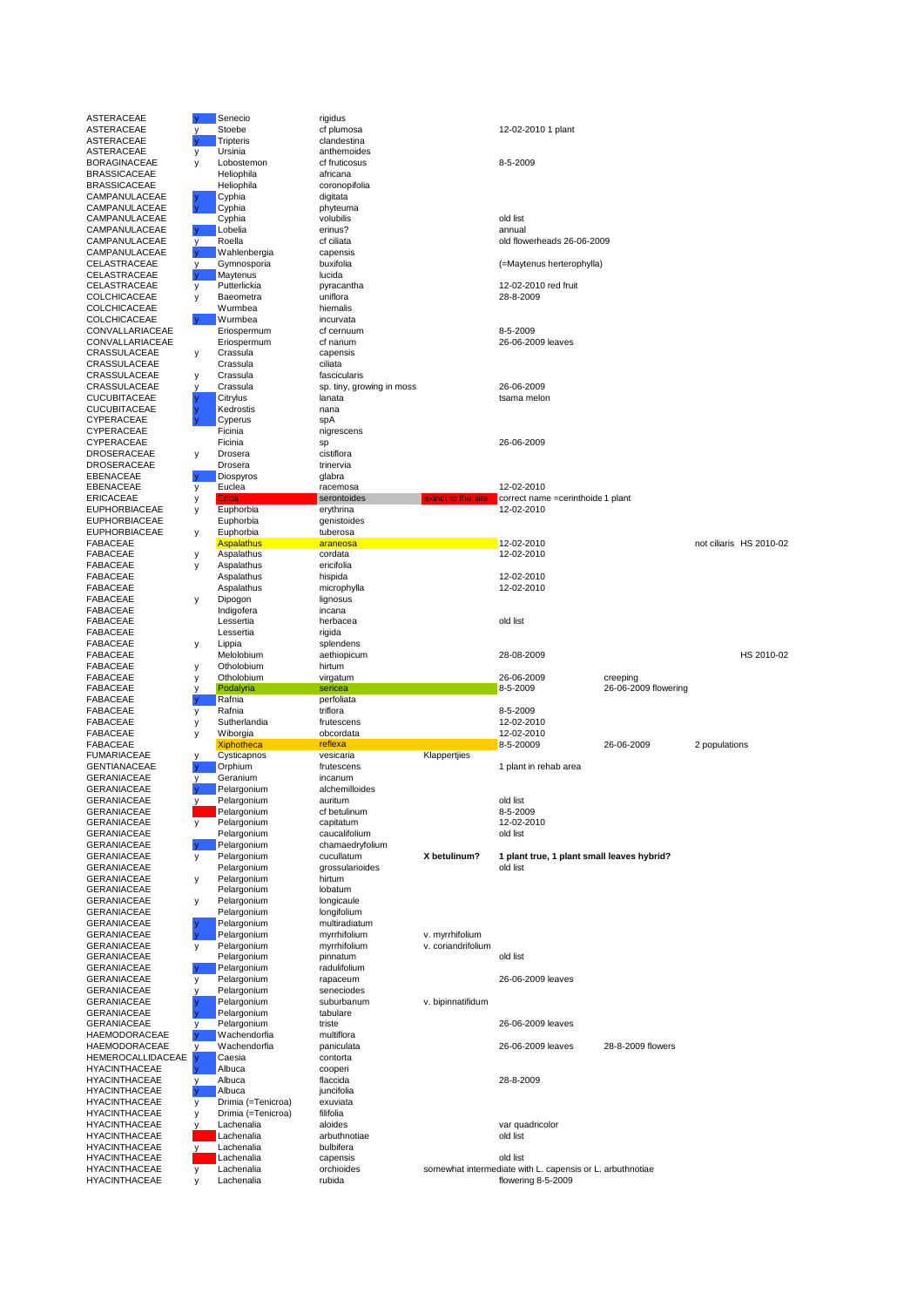| ASTERACEAE                         |              | Senecio                          | rigidus                      |                    |                                                                       |                      |                         |
|------------------------------------|--------------|----------------------------------|------------------------------|--------------------|-----------------------------------------------------------------------|----------------------|-------------------------|
| ASTERACEAE                         | у            | Stoebe                           | cf plumosa                   |                    | 12-02-2010 1 plant                                                    |                      |                         |
| ASTERACEAE                         |              | <b>Tripteris</b>                 | clandestina                  |                    |                                                                       |                      |                         |
| ASTERACEAE                         | у            | Ursinia                          | anthemoides                  |                    |                                                                       |                      |                         |
| BORAGINACEAE<br>BRASSICACEAE       | у            | Lobostemon<br>Heliophila         | cf fruticosus<br>africana    |                    | 8-5-2009                                                              |                      |                         |
| BRASSICACEAE                       |              | Heliophila                       | coronopifolia                |                    |                                                                       |                      |                         |
| CAMPANULACEAE                      |              | Cyphia                           | digitata                     |                    |                                                                       |                      |                         |
| CAMPANULACEAE                      |              | Cyphia                           | phyteuma                     |                    |                                                                       |                      |                         |
| CAMPANULACEAE                      |              | Cyphia                           | volubilis                    |                    | old list                                                              |                      |                         |
| CAMPANULACEAE                      | $\mathbf{V}$ | Lobelia                          | erinus?                      |                    | annual                                                                |                      |                         |
| CAMPANULACEAE                      | у            | Roella                           | cf ciliata                   |                    | old flowerheads 26-06-2009                                            |                      |                         |
| CAMPANULACEAE<br>CELASTRACEAE      | y            | Wahlenbergia<br>Gymnosporia      | capensis<br>buxifolia        |                    | (=Maytenus herterophylla)                                             |                      |                         |
| CELASTRACEAE                       |              | Maytenus                         | lucida                       |                    |                                                                       |                      |                         |
| CELASTRACEAE                       | у            | Putterlickia                     | pyracantha                   |                    | 12-02-2010 red fruit                                                  |                      |                         |
| COLCHICACEAE                       | у            | Baeometra                        | uniflora                     |                    | 28-8-2009                                                             |                      |                         |
| COLCHICACEAE                       |              | Wurmbea                          | hiemalis                     |                    |                                                                       |                      |                         |
| COLCHICACEAE                       |              | Wurmbea                          | incurvata                    |                    |                                                                       |                      |                         |
| CONVALLARIACEAE<br>CONVALLARIACEAE |              | Eriospermum<br>Eriospermum       | cf cernuum<br>cf nanum       |                    | 8-5-2009<br>26-06-2009 leaves                                         |                      |                         |
| CRASSULACEAE                       | у            | Crassula                         | capensis                     |                    |                                                                       |                      |                         |
| CRASSULACEAE                       |              | Crassula                         | ciliata                      |                    |                                                                       |                      |                         |
| CRASSULACEAE                       | y            | Crassula                         | fascicularis                 |                    |                                                                       |                      |                         |
| CRASSULACEAE                       | ٧            | Crassula                         | sp. tiny, growing in moss    |                    | 26-06-2009                                                            |                      |                         |
| CUCUBITACEAE                       |              | Citrylus                         | lanata                       |                    | tsama melon                                                           |                      |                         |
| CUCUBITACEAE                       |              | Kedrostis                        | nana                         |                    |                                                                       |                      |                         |
| CYPERACEAE<br>CYPERACEAE           |              | Cyperus<br>Ficinia               | spA<br>nigrescens            |                    |                                                                       |                      |                         |
| CYPERACEAE                         |              | Ficinia                          | sp                           |                    | 26-06-2009                                                            |                      |                         |
| DROSERACEAE                        | у            | Drosera                          | cistiflora                   |                    |                                                                       |                      |                         |
| DROSERACEAE                        |              | Drosera                          | trinervia                    |                    |                                                                       |                      |                         |
| EBENACEAE                          |              | Diospyros                        | glabra                       |                    |                                                                       |                      |                         |
| EBENACEAE                          | y            | Euclea                           | racemosa                     |                    | 12-02-2010                                                            |                      |                         |
| ERICACEAE<br>EUPHORBIACEAE         | у            | Erica<br>Euphorbia               | serontoides<br>erythrina     | exinct to the site | correct name =cerinthoide 1 plant<br>12-02-2010                       |                      |                         |
| EUPHORBIACEAE                      | у            | Euphorbia                        | genistoides                  |                    |                                                                       |                      |                         |
| EUPHORBIACEAE                      | у            | Euphorbia                        | tuberosa                     |                    |                                                                       |                      |                         |
| FABACEAE                           |              | Aspalathus                       | araneosa                     |                    | 12-02-2010                                                            |                      | not ciliaris HS 2010-02 |
| FABACEAE                           | у            | Aspalathus                       | cordata                      |                    | 12-02-2010                                                            |                      |                         |
| FABACEAE                           | у            | Aspalathus                       | ericifolia                   |                    |                                                                       |                      |                         |
| FABACEAE                           |              | Aspalathus                       | hispida                      |                    | 12-02-2010                                                            |                      |                         |
| FABACEAE<br>FABACEAE               |              | Aspalathus<br>Dipogon            | microphylla<br>lignosus      |                    | 12-02-2010                                                            |                      |                         |
| FABACEAE                           | у            | Indigofera                       | incana                       |                    |                                                                       |                      |                         |
| FABACEAE                           |              | Lessertia                        | herbacea                     |                    | old list                                                              |                      |                         |
| FABACEAE                           |              | Lessertia                        | rigida                       |                    |                                                                       |                      |                         |
| FABACEAE                           | у            | Lippia                           | splendens                    |                    |                                                                       |                      |                         |
| FABACEAE                           |              | Melolobium                       | aethiopicum                  |                    | 28-08-2009                                                            |                      | HS 2010-02              |
| FABACEAE<br>FABACEAE               | у            | Otholobium<br>Otholobium         | hirtum                       |                    | 26-06-2009                                                            | creeping             |                         |
| FABACEAE                           | у<br>у       | Podalyria                        | virgatum<br>sericea          |                    | 8-5-2009                                                              | 26-06-2009 flowering |                         |
| FABACEAE                           |              | Rafnia                           | perfoliata                   |                    |                                                                       |                      |                         |
| FABACEAE                           | у            | Rafnia                           | triflora                     |                    | 8-5-2009                                                              |                      |                         |
| FABACEAE                           | у            | Sutherlandia                     | frutescens                   |                    | 12-02-2010                                                            |                      |                         |
| FABACEAE                           | у            | Wiborgia                         | obcordata                    |                    | 12-02-2010                                                            |                      |                         |
| FABACEAE<br>FUMARIACEAE            |              | <b>Xiphotheca</b><br>Cysticapnos | reflexa<br>vesicaria         | Klappertjies       | 8-5-20009                                                             | 26-06-2009           | 2 populations           |
| GENTIANACEAE                       | у            | Orphium                          | frutescens                   |                    | 1 plant in rehab area                                                 |                      |                         |
| GERANIACEAE                        |              | Geranium                         | incanum                      |                    |                                                                       |                      |                         |
| GERANIACEAE                        |              | Pelargonium                      | alchemilloides               |                    |                                                                       |                      |                         |
| GERANIACEAE                        |              | Pelargonium                      | auritum                      |                    | old list                                                              |                      |                         |
| GERANIACEAE                        |              | Pelargonium                      | cf betulinum                 |                    | 8-5-2009                                                              |                      |                         |
| GERANIACEAE<br>GERANIACEAE         | у            | Pelargonium<br>Pelargonium       | capitatum<br>caucalifolium   |                    | 12-02-2010<br>old list                                                |                      |                         |
| GERANIACEAE                        |              | Pelargonium                      | chamaedryfolium              |                    |                                                                       |                      |                         |
| GERANIACEAE                        | y            | Pelargonium                      | cucullatum                   | X betulinum?       | 1 plant true, 1 plant small leaves hybrid?                            |                      |                         |
| GERANIACEAE                        |              | Pelargonium                      | grossularioides              |                    | old list                                                              |                      |                         |
| GERANIACEAE                        | у            | Pelargonium                      | hirtum                       |                    |                                                                       |                      |                         |
| GERANIACEAE                        |              | Pelargonium                      | lobatum                      |                    |                                                                       |                      |                         |
| GERANIACEAE                        | у            | Pelargonium                      | longicaule                   |                    |                                                                       |                      |                         |
| GERANIACEAE<br>GERANIACEAE         |              | Pelargonium<br>Pelargonium       | longifolium<br>multiradiatum |                    |                                                                       |                      |                         |
| GERANIACEAE                        |              | Pelargonium                      | myrrhifolium                 | v. myrrhifolium    |                                                                       |                      |                         |
| GERANIACEAE                        | у            | Pelargonium                      | myrrhifolium                 | v. coriandrifolium |                                                                       |                      |                         |
| GERANIACEAE                        |              | Pelargonium                      | pinnatum                     |                    | old list                                                              |                      |                         |
| GERANIACEAE                        |              | Pelargonium                      | radulifolium                 |                    |                                                                       |                      |                         |
| GERANIACEAE                        | у            | Pelargonium                      | rapaceum                     |                    | 26-06-2009 leaves                                                     |                      |                         |
| GERANIACEAE<br>GERANIACEAE         | y            | Pelargonium<br>Pelargonium       | seneciodes<br>suburbanum     | v. bipinnatifidum  |                                                                       |                      |                         |
| GERANIACEAE                        |              | Pelargonium                      | tabulare                     |                    |                                                                       |                      |                         |
| GERANIACEAE                        | У            | Pelargonium                      | triste                       |                    | 26-06-2009 leaves                                                     |                      |                         |
| HAEMODORACEAE                      |              | Wachendorfia                     | multiflora                   |                    |                                                                       |                      |                         |
| HAEMODORACEAE                      | у            | Wachendorfia                     | paniculata                   |                    | 26-06-2009 leaves                                                     | 28-8-2009 flowers    |                         |
| HEMEROCALLIDACEAE                  |              | Caesia                           | contorta                     |                    |                                                                       |                      |                         |
| HYACINTHACEAE                      |              | Albuca                           | cooperi                      |                    |                                                                       |                      |                         |
| HYACINTHACEAE<br>HYACINTHACEAE     | у            | Albuca<br>Albuca                 | flaccida<br>juncifolia       |                    | 28-8-2009                                                             |                      |                         |
| HYACINTHACEAE                      | у            | Drimia (=Tenicroa)               | exuviata                     |                    |                                                                       |                      |                         |
| HYACINTHACEAE                      | у            | Drimia (=Tenicroa)               | filifolia                    |                    |                                                                       |                      |                         |
| HYACINTHACEAE                      | у            | Lachenalia                       | aloides                      |                    | var quadricolor                                                       |                      |                         |
| HYACINTHACEAE                      |              | Lachenalia                       | arbuthnotiae                 |                    | old list                                                              |                      |                         |
| HYACINTHACEAE                      | y.           | Lachenalia                       | bulbifera                    |                    |                                                                       |                      |                         |
| HYACINTHACEAE<br>HYACINTHACEAE     | у            | Lachenalia<br>Lachenalia         | capensis<br>orchioides       |                    | old list<br>somewhat intermediate with L. capensis or L. arbuthnotiae |                      |                         |
| HYACINTHACEAE                      | у            | Lachenalia                       | rubida                       |                    | flowering 8-5-2009                                                    |                      |                         |
|                                    |              |                                  |                              |                    |                                                                       |                      |                         |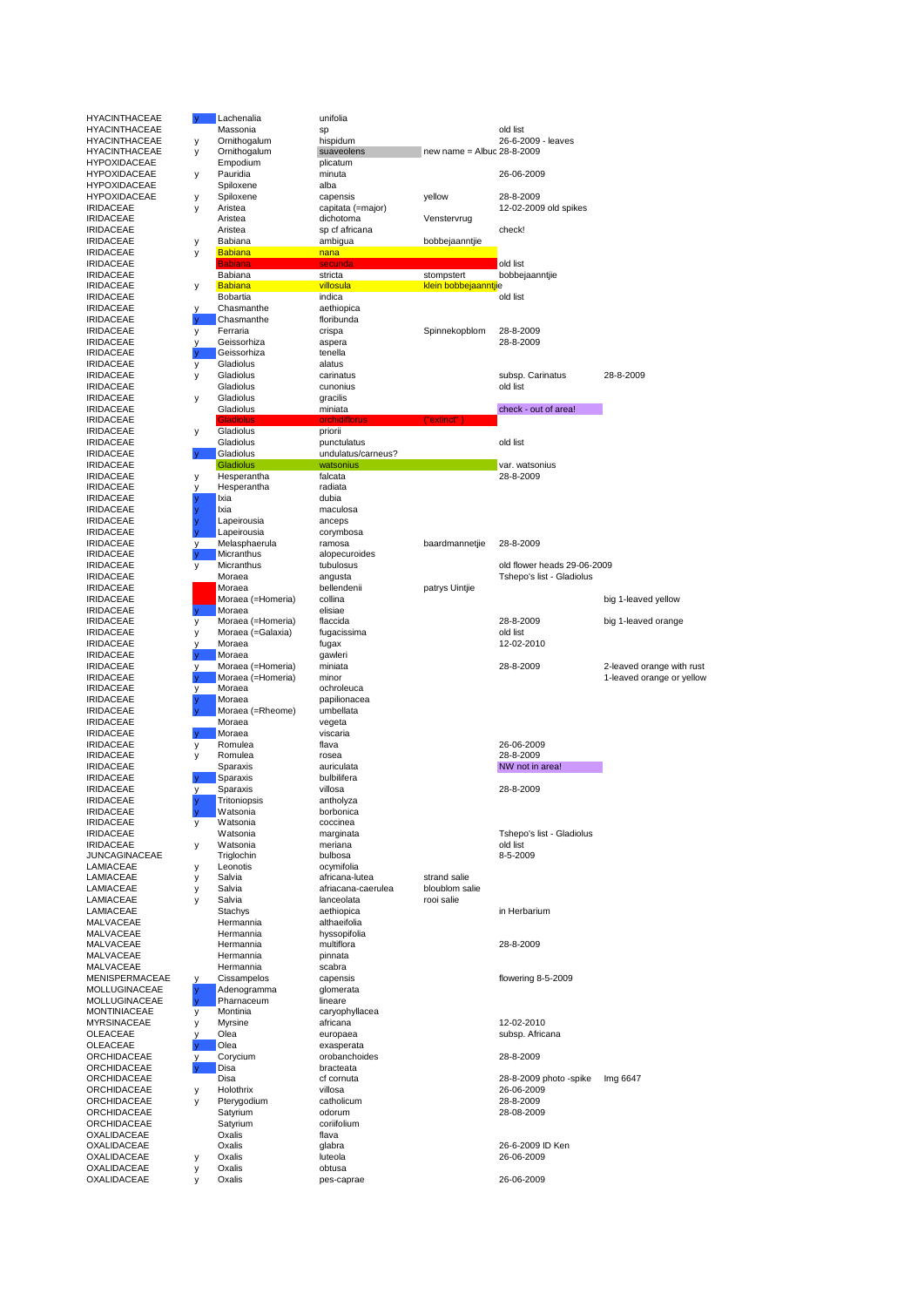| <b>HYACINTHACEAE</b>                       |          | Lachenalia                  | unifolia                             |                                |                              |                           |
|--------------------------------------------|----------|-----------------------------|--------------------------------------|--------------------------------|------------------------------|---------------------------|
| <b>HYACINTHACEAE</b>                       |          | Massonia                    | sp                                   |                                | old list                     |                           |
| <b>HYACINTHACEAE</b>                       | у        | Ornithogalum                | hispidum                             |                                | 26-6-2009 - leaves           |                           |
| <b>HYACINTHACEAE</b>                       | у        | Ornithogalum                | suaveolens                           | new name = Albuc 28-8-2009     |                              |                           |
| <b>HYPOXIDACEAE</b><br><b>HYPOXIDACEAE</b> | у        | Empodium<br>Pauridia        | plicatum<br>minuta                   |                                | 26-06-2009                   |                           |
| <b>HYPOXIDACEAE</b>                        |          | Spiloxene                   | alba                                 |                                |                              |                           |
| <b>HYPOXIDACEAE</b>                        | у        | Spiloxene                   | capensis                             | yellow                         | 28-8-2009                    |                           |
| <b>IRIDACEAE</b><br><b>IRIDACEAE</b>       | у        | Aristea<br>Aristea          | capitata (=major)<br>dichotoma       | Venstervrug                    | 12-02-2009 old spikes        |                           |
| <b>IRIDACEAE</b>                           |          | Aristea                     | sp cf africana                       |                                | check!                       |                           |
| <b>IRIDACEAE</b>                           | у        | Babiana                     | ambigua                              | bobbejaanntjie                 |                              |                           |
| <b>IRIDACEAE</b>                           | у        | <b>Babiana</b>              | nana                                 |                                |                              |                           |
| <b>IRIDACEAE</b><br><b>IRIDACEAE</b>       |          | <b>Babiana</b><br>Babiana   | secunda<br>stricta                   | stompstert                     | old list<br>bobbejaanntjie   |                           |
| <b>IRIDACEAE</b>                           | у        | <b>Babiana</b>              | villosula                            | klein bobbejaanntjie           |                              |                           |
| <b>IRIDACEAE</b>                           |          | Bobartia                    | indica                               |                                | old list                     |                           |
| <b>IRIDACEAE</b>                           | ٧        | Chasmanthe                  | aethiopica                           |                                |                              |                           |
| <b>IRIDACEAE</b><br><b>IRIDACEAE</b>       | у        | Chasmanthe<br>Ferraria      | floribunda<br>crispa                 | Spinnekopblom                  | 28-8-2009                    |                           |
| <b>IRIDACEAE</b>                           | У        | Geissorhiza                 | aspera                               |                                | 28-8-2009                    |                           |
| <b>IRIDACEAE</b>                           |          | Geissorhiza                 | tenella                              |                                |                              |                           |
| <b>IRIDACEAE</b>                           | у        | Gladiolus                   | alatus                               |                                |                              |                           |
| <b>IRIDACEAE</b><br><b>IRIDACEAE</b>       | у        | Gladiolus<br>Gladiolus      | carinatus<br>cunonius                |                                | subsp. Carinatus<br>old list | 28-8-2009                 |
| <b>IRIDACEAE</b>                           | у        | Gladiolus                   | gracilis                             |                                |                              |                           |
| <b>IRIDACEAE</b>                           |          | Gladiolus                   | miniata                              |                                | check - out of area!         |                           |
| <b>IRIDACEAE</b>                           |          | Gladiolus                   | orchidit                             | ("extinct                      |                              |                           |
| <b>IRIDACEAE</b><br><b>IRIDACEAE</b>       | у        | Gladiolus<br>Gladiolus      | priorii<br>punctulatus               |                                | old list                     |                           |
| <b>IRIDACEAE</b>                           |          | Gladiolus                   | undulatus/carneus?                   |                                |                              |                           |
| <b>IRIDACEAE</b>                           |          | Gladiolus                   | watsonius                            |                                | var. watsonius               |                           |
| <b>IRIDACEAE</b>                           | у        | Hesperantha                 | falcata                              |                                | 28-8-2009                    |                           |
| <b>IRIDACEAE</b><br><b>IRIDACEAE</b>       |          | Hesperantha<br>Ixia         | radiata<br>dubia                     |                                |                              |                           |
| <b>IRIDACEAE</b>                           |          | Ixia                        | maculosa                             |                                |                              |                           |
| <b>IRIDACEAE</b>                           |          | Lapeirousia                 | anceps                               |                                |                              |                           |
| <b>IRIDACEAE</b>                           |          | Lapeirousia                 | corymbosa                            |                                |                              |                           |
| <b>IRIDACEAE</b><br><b>IRIDACEAE</b>       | ٧        | Melasphaerula<br>Micranthus | ramosa<br>alopecuroides              | baardmannetjie                 | 28-8-2009                    |                           |
| <b>IRIDACEAE</b>                           | у        | Micranthus                  | tubulosus                            |                                | old flower heads 29-06-2009  |                           |
| <b>IRIDACEAE</b>                           |          | Moraea                      | angusta                              |                                | Tshepo's list - Gladiolus    |                           |
| <b>IRIDACEAE</b>                           |          | Moraea                      | bellendenii                          | patrys Uintjie                 |                              |                           |
| <b>IRIDACEAE</b><br><b>IRIDACEAE</b>       | y.       | Moraea (=Homeria)<br>Moraea | collina<br>elisiae                   |                                |                              | big 1-leaved yellow       |
| <b>IRIDACEAE</b>                           | у        | Moraea (=Homeria)           | flaccida                             |                                | 28-8-2009                    | big 1-leaved orange       |
| <b>IRIDACEAE</b>                           | у        | Moraea (=Galaxia)           | fugacissima                          |                                | old list                     |                           |
| <b>IRIDACEAE</b>                           | ٧        | Moraea                      | fugax                                |                                | 12-02-2010                   |                           |
| <b>IRIDACEAE</b><br><b>IRIDACEAE</b>       | ٧        | Moraea<br>Moraea (=Homeria) | gawleri<br>miniata                   |                                | 28-8-2009                    | 2-leaved orange with rust |
| <b>IRIDACEAE</b>                           |          | Moraea (=Homeria)           | minor                                |                                |                              | 1-leaved orange or yellow |
| <b>IRIDACEAE</b>                           | v        | Moraea                      | ochroleuca                           |                                |                              |                           |
| <b>IRIDACEAE</b>                           |          | Moraea                      | papilionacea                         |                                |                              |                           |
| <b>IRIDACEAE</b><br><b>IRIDACEAE</b>       |          | Moraea (=Rheome)<br>Moraea  | umbellata<br>vegeta                  |                                |                              |                           |
| <b>IRIDACEAE</b>                           | <b>V</b> | Moraea                      | viscaria                             |                                |                              |                           |
| <b>IRIDACEAE</b>                           | у        | Romulea                     | flava                                |                                | 26-06-2009                   |                           |
| <b>IRIDACEAE</b>                           | у        | Romulea                     | rosea                                |                                | 28-8-2009                    |                           |
| <b>IRIDACEAE</b><br><b>IRIDACEAE</b>       |          | Sparaxis<br>Sparaxis        | auriculata<br>bulbilifera            |                                | NW not in area!              |                           |
| <b>IRIDACEAE</b>                           | у        | Sparaxis                    | villosa                              |                                | 28-8-2009                    |                           |
| <b>IRIDACEAE</b>                           |          | Tritoniopsis                | antholyza                            |                                |                              |                           |
| <b>IRIDACEAE</b>                           |          | Watsonia                    | borbonica                            |                                |                              |                           |
| <b>IRIDACEAE</b><br><b>IRIDACEAE</b>       | у        | Watsonia<br>Watsonia        | coccinea<br>marginata                |                                | Tshepo's list - Gladiolus    |                           |
| <b>IRIDACEAE</b>                           | у        | Watsonia                    | meriana                              |                                | old list                     |                           |
| <b>JUNCAGINACEAE</b>                       |          | Triglochin                  | bulbosa                              |                                | 8-5-2009                     |                           |
| LAMIACEAE                                  | у        | Leonotis                    | ocymifolia                           |                                |                              |                           |
| LAMIACEAE<br>LAMIACEAE                     | у<br>у   | Salvia<br>Salvia            | africana-lutea<br>afriacana-caerulea | strand salie<br>bloublom salie |                              |                           |
| LAMIACEAE                                  | у        | Salvia                      | lanceolata                           | rooi salie                     |                              |                           |
| LAMIACEAE                                  |          | Stachys                     | aethiopica                           |                                | in Herbarium                 |                           |
| MALVACEAE<br>MALVACEAE                     |          |                             |                                      |                                |                              |                           |
|                                            |          | Hermannia                   | althaeifolia                         |                                |                              |                           |
|                                            |          | Hermannia                   | hyssopifolia                         |                                |                              |                           |
| MALVACEAE<br>MALVACEAE                     |          | Hermannia<br>Hermannia      | multiflora<br>pinnata                |                                | 28-8-2009                    |                           |
| MALVACEAE                                  |          | Hermannia                   | scabra                               |                                |                              |                           |
| MENISPERMACEAE                             | у        | Cissampelos                 | capensis                             |                                | flowering 8-5-2009           |                           |
| <b>MOLLUGINACEAE</b>                       |          | Adenogramma                 | glomerata                            |                                |                              |                           |
| MOLLUGINACEAE<br><b>MONTINIACEAE</b>       | у        | Pharnaceum<br>Montinia      | lineare<br>caryophyllacea            |                                |                              |                           |
| <b>MYRSINACEAE</b>                         | у        | Myrsine                     | africana                             |                                | 12-02-2010                   |                           |
| OLEACEAE                                   |          | Olea                        | europaea                             |                                | subsp. Africana              |                           |
| OLEACEAE                                   |          | Olea                        | exasperata                           |                                |                              |                           |
| ORCHIDACEAE<br>ORCHIDACEAE                 | у        | Corycium<br>Disa            | orobanchoides<br>bracteata           |                                | 28-8-2009                    |                           |
| ORCHIDACEAE                                |          | Disa                        | cf cornuta                           |                                | 28-8-2009 photo -spike       | Img 6647                  |
| ORCHIDACEAE                                | у        | Holothrix                   | villosa                              |                                | 26-06-2009                   |                           |
| ORCHIDACEAE                                | у        | Pterygodium                 | catholicum                           |                                | 28-8-2009                    |                           |
| ORCHIDACEAE<br>ORCHIDACEAE                 |          | Satyrium<br>Satyrium        | odorum<br>coriifolium                |                                | 28-08-2009                   |                           |
| OXALIDACEAE                                |          | Oxalis                      | flava                                |                                |                              |                           |
| OXALIDACEAE                                |          | Oxalis                      | glabra                               |                                | 26-6-2009 ID Ken             |                           |
| OXALIDACEAE                                | у        | Oxalis                      | luteola                              |                                | 26-06-2009                   |                           |
| OXALIDACEAE<br>OXALIDACEAE                 | у<br>У   | Oxalis<br>Oxalis            | obtusa<br>pes-caprae                 |                                | 26-06-2009                   |                           |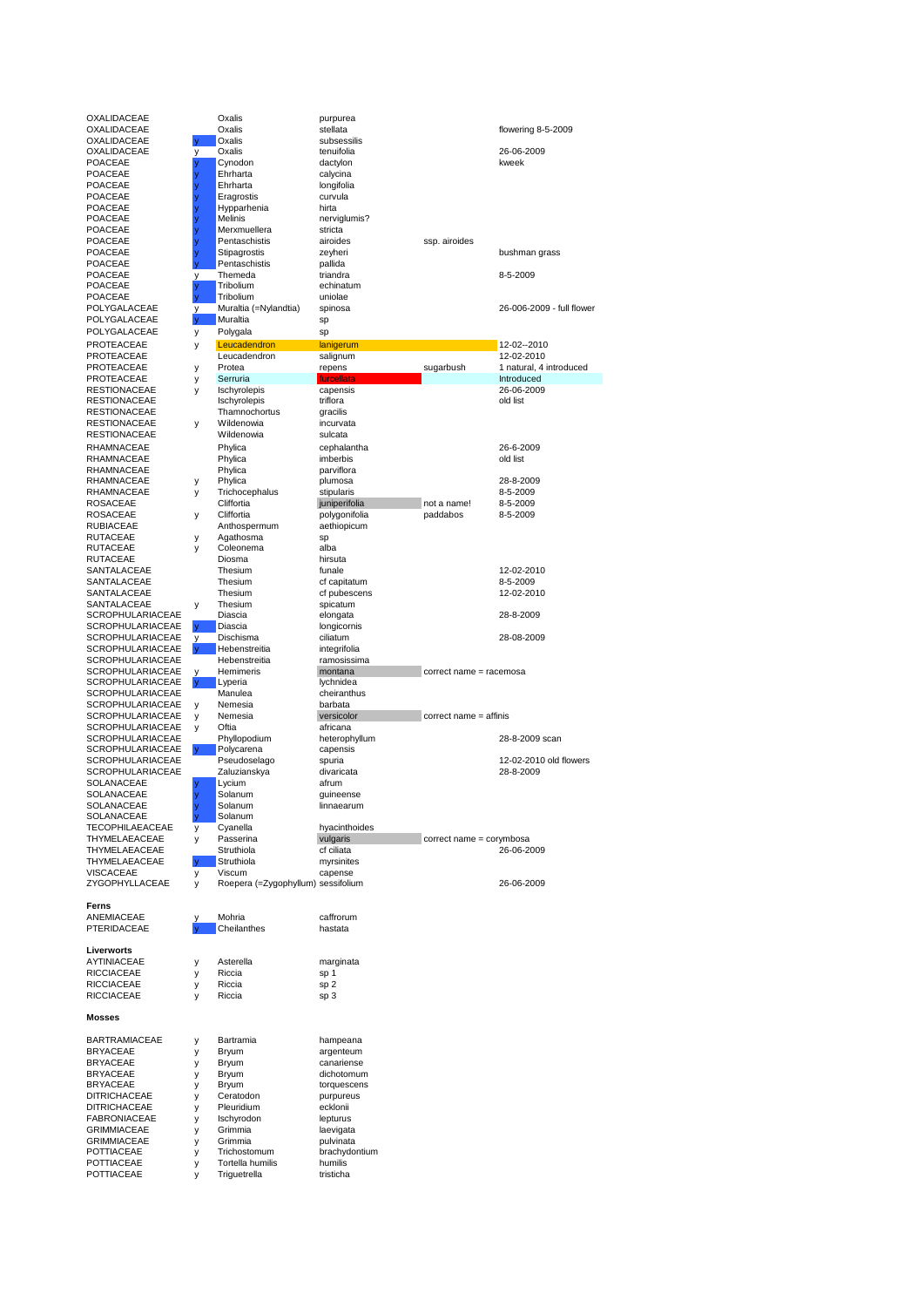POTTIACEAE y Triguetrella tristicha

| OXALIDACEAE             |              | Oxalis                             | purpurea      |                          |                           |
|-------------------------|--------------|------------------------------------|---------------|--------------------------|---------------------------|
| OXALIDACEAE             |              | Oxalis                             | stellata      |                          | flowering 8-5-2009        |
| OXALIDACEAE             |              | Oxalis                             | subsessilis   |                          |                           |
| OXALIDACEAE             | у            | Oxalis                             | tenuifolia    |                          | 26-06-2009                |
|                         |              |                                    |               |                          |                           |
| POACEAE                 | ÿ            | Cynodon                            | dactylon      |                          | kweek                     |
| POACEAE                 | y            | Ehrharta                           | calycina      |                          |                           |
| POACEAE                 |              | Ehrharta                           | longifolia    |                          |                           |
| <b>POACEAE</b>          |              | Eragrostis                         | curvula       |                          |                           |
| POACEAE                 |              | Hypparhenia                        | hirta         |                          |                           |
| POACEAE                 |              | Melinis                            | nerviglumis?  |                          |                           |
| POACEAE                 |              | Merxmuellera                       | stricta       |                          |                           |
|                         |              |                                    |               |                          |                           |
| POACEAE                 |              | Pentaschistis                      | airoides      | ssp. airoides            |                           |
| POACEAE                 |              | Stipagrostis                       | zeyheri       |                          | bushman grass             |
| POACEAE                 |              | Pentaschistis                      | pallida       |                          |                           |
| POACEAE                 | у            | Themeda                            | triandra      |                          | 8-5-2009                  |
| POACEAE                 | y            | Tribolium                          | echinatum     |                          |                           |
| POACEAE                 | V            | Tribolium                          | uniolae       |                          |                           |
|                         |              |                                    |               |                          |                           |
| POLYGALACEAE            | у            | Muraltia (=Nylandtia)              | spinosa       |                          | 26-006-2009 - full flower |
| POLYGALACEAE            | V            | Muraltia                           | sp            |                          |                           |
| POLYGALACEAE            | у            | Polygala                           | sp            |                          |                           |
| PROTEACEAE              | у            | Leucadendron                       | lanigerum     |                          | 12-02--2010               |
| PROTEACEAE              |              | Leucadendron                       |               |                          |                           |
|                         |              |                                    | salignum      |                          | 12-02-2010                |
| PROTEACEAE              | у            | Protea                             | repens        | sugarbush                | 1 natural, 4 introduced   |
| PROTEACEAE              | у            | Serruria                           | furcellata    |                          | Introduced                |
| <b>RESTIONACEAE</b>     | у            | Ischyrolepis                       | capensis      |                          | 26-06-2009                |
| <b>RESTIONACEAE</b>     |              | Ischyrolepis                       | triflora      |                          | old list                  |
| <b>RESTIONACEAE</b>     |              | Thamnochortus                      | gracilis      |                          |                           |
| RESTIONACEAE            |              | Wildenowia                         | incurvata     |                          |                           |
|                         | у            |                                    |               |                          |                           |
| <b>RESTIONACEAE</b>     |              | Wildenowia                         | sulcata       |                          |                           |
| RHAMNACEAE              |              | Phylica                            | cephalantha   |                          | 26-6-2009                 |
| RHAMNACEAE              |              | Phylica                            | imberbis      |                          | old list                  |
| RHAMNACEAE              |              | Phylica                            | parviflora    |                          |                           |
| RHAMNACEAE              |              | Phylica                            |               |                          | 28-8-2009                 |
|                         | у            |                                    | plumosa       |                          |                           |
| RHAMNACEAE              | у            | Trichocephalus                     | stipularis    |                          | 8-5-2009                  |
| ROSACEAE                |              | Cliffortia                         | juniperifolia | not a name!              | 8-5-2009                  |
| <b>ROSACEAE</b>         | у            | Cliffortia                         | polygonifolia | paddabos                 | 8-5-2009                  |
| <b>RUBIACEAE</b>        |              | Anthospermum                       | aethiopicum   |                          |                           |
| RUTACEAE                |              | Agathosma                          | sp            |                          |                           |
|                         | у            |                                    |               |                          |                           |
| RUTACEAE                | у            | Coleonema                          | alba          |                          |                           |
| <b>RUTACEAE</b>         |              | Diosma                             | hirsuta       |                          |                           |
| SANTALACEAE             |              | Thesium                            | funale        |                          | 12-02-2010                |
| SANTALACEAE             |              | Thesium                            | cf capitatum  |                          | 8-5-2009                  |
| SANTALACEAE             |              | Thesium                            | cf pubescens  |                          | 12-02-2010                |
| SANTALACEAE             |              | Thesium                            | spicatum      |                          |                           |
|                         | у            |                                    |               |                          |                           |
| SCROPHULARIACEAE        |              | Diascia                            | elongata      |                          | 28-8-2009                 |
| SCROPHULARIACEAE        | <b>V</b>     | Diascia                            | longicornis   |                          |                           |
| SCROPHULARIACEAE        | y            | Dischisma                          | ciliatum      |                          | 28-08-2009                |
| SCROPHULARIACEAE        | <b>V</b>     | Hebenstreitia                      | integrifolia  |                          |                           |
| SCROPHULARIACEAE        |              | Hebenstreitia                      | ramosissima   |                          |                           |
| SCROPHULARIACEAE        |              | Hemimeris                          |               |                          |                           |
|                         | у            |                                    | montana       | correct name = racemosa  |                           |
| SCROPHULARIACEAE        | <b>V</b>     | Lyperia                            | lychnidea     |                          |                           |
| SCROPHULARIACEAE        |              | Manulea                            | cheiranthus   |                          |                           |
| SCROPHULARIACEAE        | у            | Nemesia                            | barbata       |                          |                           |
| <b>SCROPHULARIACEAE</b> | у            | Nemesia                            | versicolor    | correct name = affinis   |                           |
| SCROPHULARIACEAE        | У            | Oftia                              | africana      |                          |                           |
| SCROPHULARIACEAE        |              | Phyllopodium                       | heterophyllum |                          | 28-8-2009 scan            |
|                         |              |                                    |               |                          |                           |
| SCROPHULARIACEAE        | <b>V</b>     | Polycarena                         | capensis      |                          |                           |
| SCROPHULARIACEAE        |              | Pseudoselago                       | spuria        |                          | 12-02-2010 old flowers    |
| <b>SCROPHULARIACEAE</b> |              | Zaluzianskya                       | divaricata    |                          | 28-8-2009                 |
| SOLANACEAE              | y            | Lycium                             | afrum         |                          |                           |
| <b>SOLANACEAE</b>       | ÿ            | Solanum                            | guineense     |                          |                           |
| SOLANACEAE              |              | Solanum                            | iinnaearum    |                          |                           |
| SOLANACEAE              | y            | Solanum                            |               |                          |                           |
|                         |              |                                    |               |                          |                           |
| <b>TECOPHILAEACEAE</b>  | у            | Cyanella                           | hyacinthoides |                          |                           |
| THYMELAEACEAE           | у            | Passerina                          | vulgaris      | correct name = corymbosa |                           |
| THYMELAEACEAE           |              | Struthiola                         | cf ciliata    |                          | 26-06-2009                |
| THYMELAEACEAE           | <b>V</b>     | Struthiola                         | myrsinites    |                          |                           |
| <b>VISCACEAE</b>        | у            | Viscum                             | capense       |                          |                           |
| ZYGOPHYLLACEAE          | у            | Roepera (=Zygophyllum) sessifolium |               |                          | 26-06-2009                |
|                         |              |                                    |               |                          |                           |
|                         |              |                                    |               |                          |                           |
| Ferns                   |              |                                    |               |                          |                           |
| ANEMIACEAE              | у            | Mohria                             | caffrorum     |                          |                           |
| PTERIDACEAE             | $\mathbf{V}$ | Cheilanthes                        | hastata       |                          |                           |
|                         |              |                                    |               |                          |                           |
| Liverworts              |              |                                    |               |                          |                           |
| AYTINIACEAE             | у            | Asterella                          | marginata     |                          |                           |
| <b>RICCIACEAE</b>       |              | Riccia                             | sp 1          |                          |                           |
|                         | у            |                                    |               |                          |                           |
| RICCIACEAE              | у            | Riccia                             | sp 2          |                          |                           |
| RICCIACEAE              | у            | Riccia                             | sp 3          |                          |                           |
|                         |              |                                    |               |                          |                           |
| <b>Mosses</b>           |              |                                    |               |                          |                           |
|                         |              |                                    |               |                          |                           |
| <b>BARTRAMIACEAE</b>    | у            | Bartramia                          | hampeana      |                          |                           |
|                         |              |                                    |               |                          |                           |
| <b>BRYACEAE</b>         | у            | Bryum                              | argenteum     |                          |                           |
| <b>BRYACEAE</b>         | у            | Bryum                              | canariense    |                          |                           |
| <b>BRYACEAE</b>         | у            | Bryum                              | dichotomum    |                          |                           |
| <b>BRYACEAE</b>         | у            | Bryum                              | torquescens   |                          |                           |
| DITRICHACEAE            | у            | Ceratodon                          | purpureus     |                          |                           |
|                         |              |                                    |               |                          |                           |
| <b>DITRICHACEAE</b>     | у            | Pleuridium                         | ecklonii      |                          |                           |
| <b>FABRONIACEAE</b>     | у            | Ischyrodon                         | lepturus      |                          |                           |
| <b>GRIMMIACEAE</b>      | у            | Grimmia                            | laevigata     |                          |                           |
| GRIMMIACEAE             | у            | Grimmia                            | pulvinata     |                          |                           |
| POTTIACEAE              | у            | Trichostomum                       | brachydontium |                          |                           |
| <b>DOTTIACEAE</b>       |              |                                    |               |                          |                           |